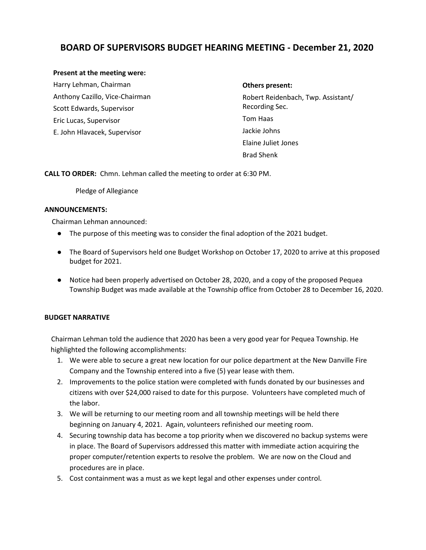# **BOARD OF SUPERVISORS BUDGET HEARING MEETING - December 21, 2020**

## **Present at the meeting were:**

Harry Lehman, Chairman Anthony Cazillo, Vice-Chairman Scott Edwards, Supervisor Eric Lucas, Supervisor E. John Hlavacek, Supervisor

#### **Others present:**

Robert Reidenbach, Twp. Assistant/ Recording Sec. Tom Haas Jackie Johns Elaine Juliet Jones Brad Shenk

**CALL TO ORDER:** Chmn. Lehman called the meeting to order at 6:30 PM.

Pledge of Allegiance

### **ANNOUNCEMENTS:**

Chairman Lehman announced:

- The purpose of this meeting was to consider the final adoption of the 2021 budget.
- The Board of Supervisors held one Budget Workshop on October 17, 2020 to arrive at this proposed budget for 2021.
- Notice had been properly advertised on October 28, 2020, and a copy of the proposed Pequea Township Budget was made available at the Township office from October 28 to December 16, 2020.

## **BUDGET NARRATIVE**

 Chairman Lehman told the audience that 2020 has been a very good year for Pequea Township. He highlighted the following accomplishments:

- 1. We were able to secure a great new location for our police department at the New Danville Fire Company and the Township entered into a five (5) year lease with them.
- 2. Improvements to the police station were completed with funds donated by our businesses and citizens with over \$24,000 raised to date for this purpose. Volunteers have completed much of the labor.
- 3. We will be returning to our meeting room and all township meetings will be held there beginning on January 4, 2021. Again, volunteers refinished our meeting room.
- 4. Securing township data has become a top priority when we discovered no backup systems were in place. The Board of Supervisors addressed this matter with immediate action acquiring the proper computer/retention experts to resolve the problem. We are now on the Cloud and procedures are in place.
- 5. Cost containment was a must as we kept legal and other expenses under control.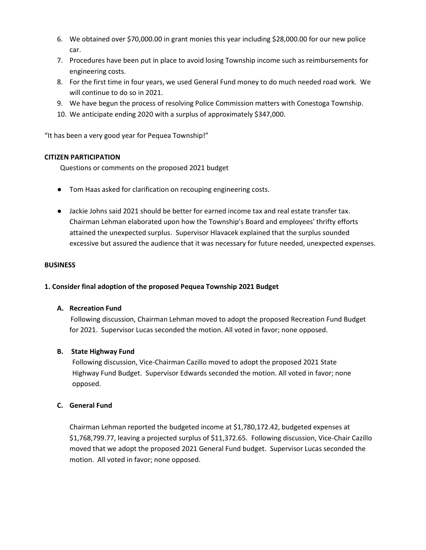- 6. We obtained over \$70,000.00 in grant monies this year including \$28,000.00 for our new police car.
- 7. Procedures have been put in place to avoid losing Township income such as reimbursements for engineering costs.
- 8. For the first time in four years, we used General Fund money to do much needed road work. We will continue to do so in 2021.
- 9. We have begun the process of resolving Police Commission matters with Conestoga Township.
- 10. We anticipate ending 2020 with a surplus of approximately \$347,000.

"It has been a very good year for Pequea Township!"

# **CITIZEN PARTICIPATION**

Questions or comments on the proposed 2021 budget

- Tom Haas asked for clarification on recouping engineering costs.
- Jackie Johns said 2021 should be better for earned income tax and real estate transfer tax. Chairman Lehman elaborated upon how the Township's Board and employees' thrifty efforts attained the unexpected surplus. Supervisor Hlavacek explained that the surplus sounded excessive but assured the audience that it was necessary for future needed, unexpected expenses.

## **BUSINESS**

# **1. Consider final adoption of the proposed Pequea Township 2021 Budget**

## **A. Recreation Fund**

Following discussion, Chairman Lehman moved to adopt the proposed Recreation Fund Budget for 2021. Supervisor Lucas seconded the motion. All voted in favor; none opposed.

## **B. State Highway Fund**

Following discussion, Vice-Chairman Cazillo moved to adopt the proposed 2021 State Highway Fund Budget. Supervisor Edwards seconded the motion. All voted in favor; none opposed.

## **C. General Fund**

Chairman Lehman reported the budgeted income at \$1,780,172.42, budgeted expenses at \$1,768,799.77, leaving a projected surplus of \$11,372.65. Following discussion, Vice-Chair Cazillo moved that we adopt the proposed 2021 General Fund budget. Supervisor Lucas seconded the motion. All voted in favor; none opposed.